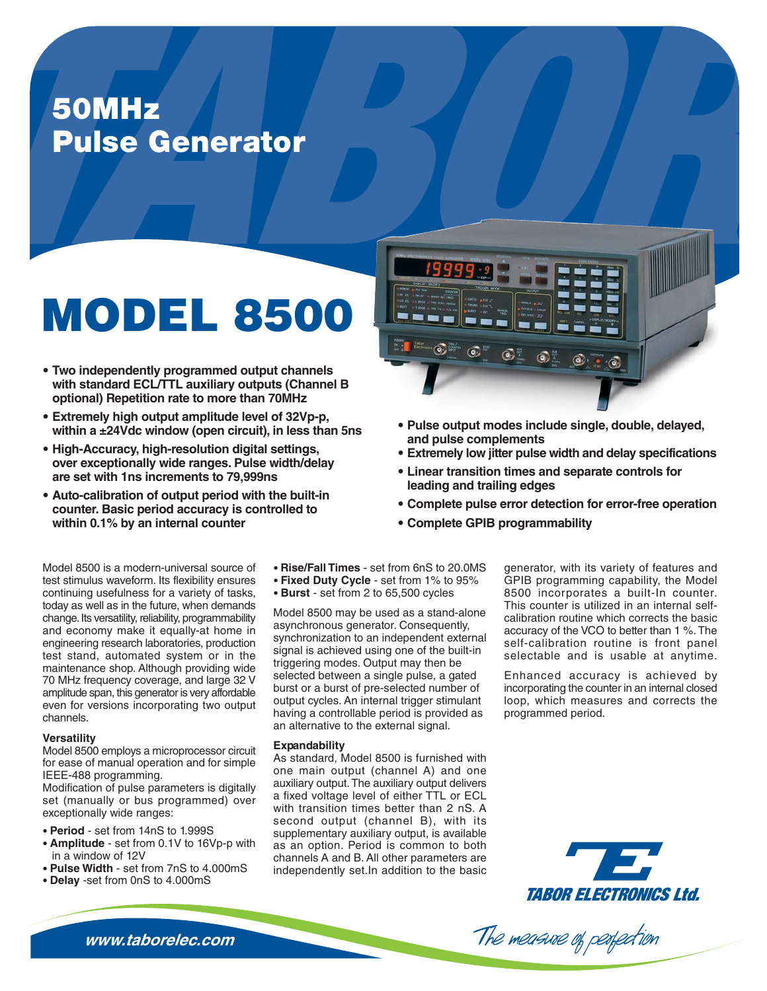### **50MHz Pulse Generator**

# **MODEL 8500**

- Two independently programmed output channels with standard ECL/TTL auxiliary outputs (Channel B optional) Repetition rate to more than 70MHz
- Extremely high output amplitude level of 32Vp-p, within a ±24Vdc window (open circuit), in less than 5ns
- High-Accuracy, high-resolution digital settings, over exceptionally wide ranges. Pulse width/delay are set with 1ns increments to 79.999ns
- Auto-calibration of output period with the built-in counter. Basic period accuracy is controlled to within 0.1% by an internal counter



- · Pulse output modes include single, double, delayed, and pulse complements
- Extremely low jitter pulse width and delay specifications
- Linear transition times and separate controls for leading and trailing edges
- Complete pulse error detection for error-free operation
- Complete GPIB programmability

Model 8500 is a modern-universal source of test stimulus waveform. Its flexibility ensures continuing usefulness for a variety of tasks, today as well as in the future, when demands change. Its versatility, reliability, programmability and economy make it equally-at home in engineering research laboratories, production test stand, automated system or in the maintenance shop. Although providing wide 70 MHz frequency coverage, and large 32 V amplitude span, this generator is very affordable even for versions incorporating two output channels.

#### **Versatility**

Model 8500 employs a microprocessor circuit for ease of manual operation and for simple IEEE-488 programming.

Modification of pulse parameters is digitally set (manually or bus programmed) over exceptionally wide ranges:

- Period set from 14nS to 1.999S
- Amplitude set from 0.1V to 16Vp-p with in a window of 12V
- . Pulse Width set from 7nS to 4.000mS
- Delay -set from 0nS to 4.000mS
- Rise/Fall Times set from 6nS to 20.0MS
- Fixed Duty Cycle set from 1% to 95%
- · Burst set from 2 to 65,500 cycles

Model 8500 may be used as a stand-alone asynchronous generator. Consequently, synchronization to an independent external signal is achieved using one of the built-in triggering modes. Output may then be selected between a single pulse, a gated burst or a burst of pre-selected number of output cycles. An internal trigger stimulant having a controllable period is provided as an alternative to the external signal.

#### **Expandability**

As standard, Model 8500 is furnished with one main output (channel A) and one auxiliary output. The auxiliary output delivers a fixed voltage level of either TTL or ECL with transition times better than 2 nS. A second output (channel B), with its supplementary auxiliary output, is available as an option. Period is common to both channels A and B. All other parameters are independently set. In addition to the basic generator, with its variety of features and GPIB programming capability, the Model 8500 incorporates a built-In counter. This counter is utilized in an internal selfcalibration routine which corrects the basic accuracy of the VCO to better than 1 %. The self-calibration routine is front panel selectable and is usable at anytime.

Enhanced accuracy is achieved by incorporating the counter in an internal closed loop, which measures and corrects the programmed period.



The measure of perfection

www.taborelec.com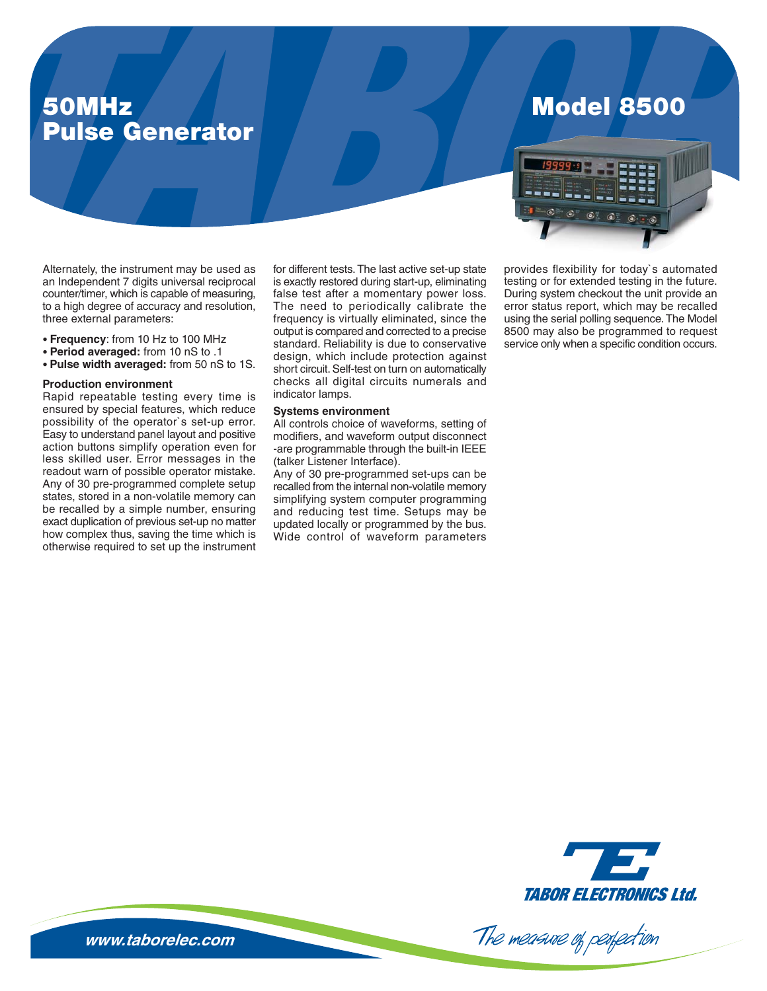### **50MHz Pulse Generator**

### **Model 8500**

Alternately, the instrument may be used as an Independent 7 digits universal reciprocal counter/timer, which is capable of measuring, to a high degree of accuracy and resolution, three external parameters:

- Frequency: from 10 Hz to 100 MHz
- Period averaged: from 10 nS to .1
- . Pulse width averaged: from 50 nS to 1S.

#### **Production environment**

Rapid repeatable testing every time is ensured by special features, which reduce possibility of the operator's set-up error. Easy to understand panel layout and positive action buttons simplify operation even for less skilled user. Error messages in the readout warn of possible operator mistake. Any of 30 pre-programmed complete setup states, stored in a non-volatile memory can be recalled by a simple number, ensuring exact duplication of previous set-up no matter how complex thus, saving the time which is otherwise required to set up the instrument

for different tests. The last active set-up state is exactly restored during start-up, eliminating false test after a momentary power loss. The need to periodically calibrate the frequency is virtually eliminated, since the output is compared and corrected to a precise standard. Reliability is due to conservative design, which include protection against short circuit. Self-test on turn on automatically checks all digital circuits numerals and indicator lamps.

#### **Systems environment**

All controls choice of waveforms, setting of modifiers, and waveform output disconnect -are programmable through the built-in IEEE (talker Listener Interface).

Any of 30 pre-programmed set-ups can be recalled from the internal non-volatile memory simplifying system computer programming and reducing test time. Setups may be updated locally or programmed by the bus. Wide control of waveform parameters provides flexibility for today's automated testing or for extended testing in the future. During system checkout the unit provide an error status report, which may be recalled using the serial polling sequence. The Model 8500 may also be programmed to request service only when a specific condition occurs.

 $\omega$ 



www.taborelec.com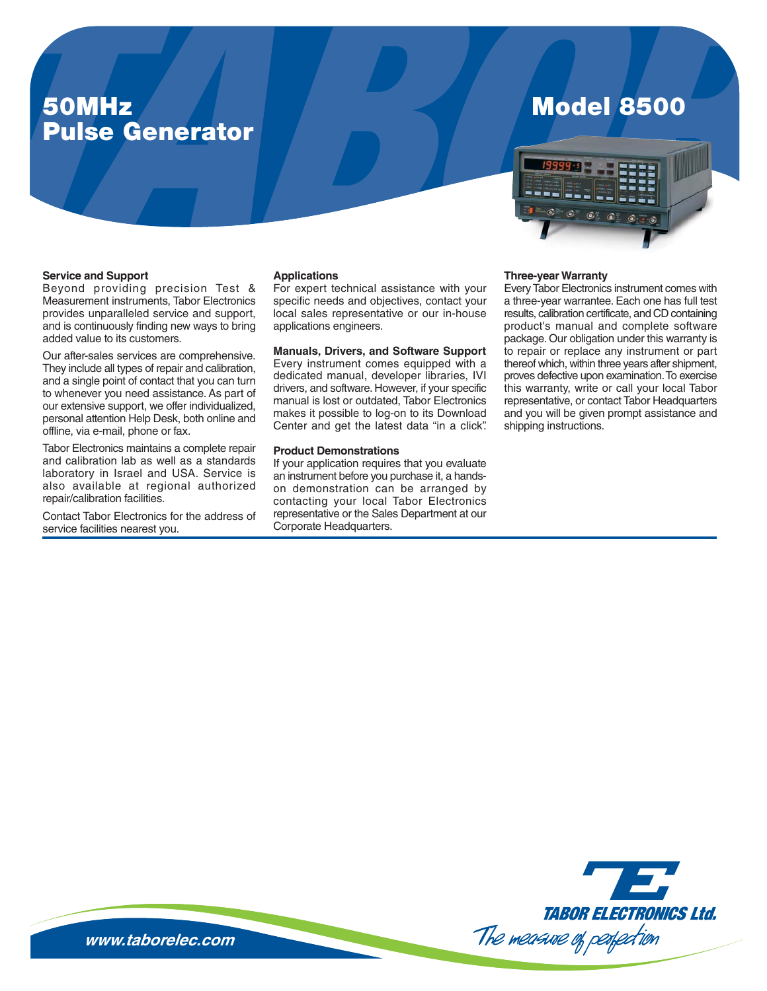### **50MHz Pulse Generator**

### **Model 8500**



#### **Service and Support**

Beyond providing precision Test & Measurement instruments. Tabor Electronics provides unparalleled service and support, and is continuously finding new ways to bring added value to its customers.

Our after-sales services are comprehensive. They include all types of repair and calibration, and a single point of contact that you can turn to whenever you need assistance. As part of our extensive support, we offer individualized, personal attention Help Desk, both online and offline, via e-mail, phone or fax.

Tabor Electronics maintains a complete repair and calibration lab as well as a standards laboratory in Israel and USA. Service is also available at regional authorized repair/calibration facilities.

Contact Tabor Electronics for the address of service facilities nearest you.

#### **Applications**

For expert technical assistance with your specific needs and objectives, contact your local sales representative or our in-house applications engineers.

**Manuals, Drivers, and Software Support** Every instrument comes equipped with a dedicated manual, developer libraries, IVI drivers, and software. However, if your specific manual is lost or outdated, Tabor Electronics makes it possible to log-on to its Download Center and get the latest data "in a click".

#### **Product Demonstrations**

If your application requires that you evaluate an instrument before you purchase it, a handson demonstration can be arranged by contacting your local Tabor Electronics representative or the Sales Department at our Corporate Headquarters.

#### **Three-year Warranty**

Every Tabor Electronics instrument comes with a three-vear warrantee. Each one has full test results, calibration certificate, and CD containing product's manual and complete software package. Our obligation under this warranty is to repair or replace any instrument or part thereof which, within three years after shipment, proves defective upon examination. To exercise this warranty, write or call your local Tabor representative, or contact Tabor Headquarters and you will be given prompt assistance and shipping instructions.

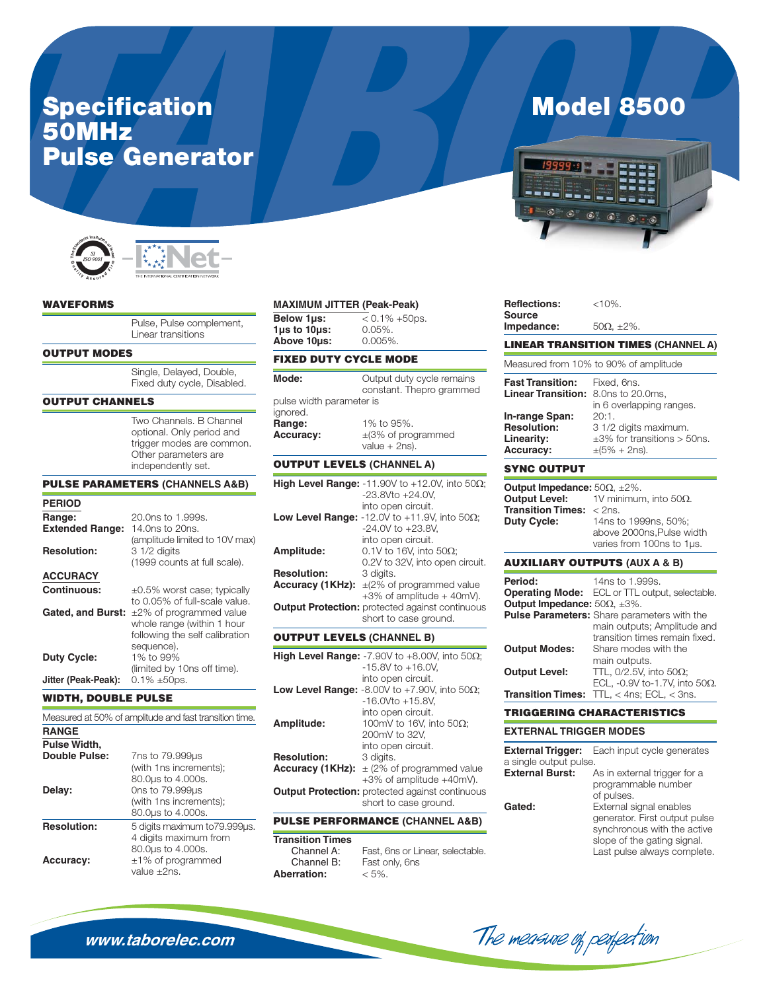## Specification<br>50MHz **Pulse Generator**



#### **WAVEFORMS**

Pulse, Pulse complement, Linear transitions

#### **OUTPUT MODES**

Single, Delayed, Double, Fixed duty cycle, Disabled.

#### **OUTPUT CHANNELS**

Two Channels. B Channel optional. Only period and trigger modes are common. Other parameters are independently set.

#### **PULSE PARAMETERS (CHANNELS A&B)**

| 20.0ns to 1.999s.<br>Range:                                                                                                             |
|-----------------------------------------------------------------------------------------------------------------------------------------|
| <b>Extended Range:</b><br>14.0ns to 20ns.                                                                                               |
| (amplitude limited to 10V max<br><b>Resolution:</b><br>3 1/2 diaits<br>(1999 counts at full scale).                                     |
| <b>ACCURACY</b>                                                                                                                         |
| Continuous:<br>$\pm 0.5\%$ worst case; typically<br>to 0.05% of full-scale value.                                                       |
| $\pm 2\%$ of programmed value<br><b>Gated, and Burst:</b><br>whole range (within 1 hour<br>following the self calibration<br>sequence). |
| 1% to 99%<br><b>Duty Cycle:</b>                                                                                                         |
| (limited by 10ns off time).<br>Jitter (Peak-Peak):<br>$0.1\% + 50$ ps.                                                                  |

#### **WIDTH, DOUBLE PULSE**

| Measured at 50% of amplitude and fast transition time. |                               |
|--------------------------------------------------------|-------------------------------|
| <b>RANGE</b>                                           |                               |
| <b>Pulse Width.</b>                                    |                               |
| Double Pulse:                                          | 7ns to 79.999µs               |
|                                                        | (with 1ns increments);        |
|                                                        | 80.0us to 4.000s.             |
| Delay:                                                 | Ons to 79.999µs               |
|                                                        | (with 1ns increments);        |
|                                                        | 80.0us to 4.000s.             |
| <b>Resolution:</b>                                     | 5 digits maximum to 79.999us. |
|                                                        | 4 digits maximum from         |
|                                                        | 80.0us to 4.000s.             |
| <b>Accuracy:</b>                                       | $±1\%$ of programmed          |
|                                                        | value +2ns                    |

#### **MAXIMUM JITTER (Peak-Peak)**

| Below 1us:               | $< 0.1\% + 50$ ps. |
|--------------------------|--------------------|
| 1 $\mu$ s to 10 $\mu$ s: | $0.05\%$ .         |
| Above 10us:              | $0.005\%$ .        |

#### **FIXED DUTY CYCLE MODE**

| Mode:                                | Output duty cycle remains<br>constant. Thepro grammed    |
|--------------------------------------|----------------------------------------------------------|
| pulse width parameter is<br>ignored. |                                                          |
| Range:<br><b>Accuracy:</b>           | 1% to 95%.<br>$\pm$ (3% of programmed<br>value $+$ 2ns). |

#### **OUTPUT LEVELS (CHANNEL A)**

|                                  | <b>High Level Range:</b> -11.90V to +12.0V, into 50 $\Omega$ ; |
|----------------------------------|----------------------------------------------------------------|
|                                  | $-23.8V$ to $+24.0V$ .                                         |
|                                  | into open circuit.                                             |
|                                  | <b>Low Level Range:</b> -12.0V to +11.9V, into 50 $\Omega$ ;   |
|                                  | $-24.0V$ to $+23.8V$ .                                         |
|                                  | into open circuit.                                             |
| Amplitude:                       | 0.1V to 16V, into 50 $\Omega$ ;                                |
|                                  | 0.2V to 32V, into open circuit.                                |
| <b>Resolution:</b>               | 3 diaits.                                                      |
| Accuracy (1KHz):                 | $\pm$ (2% of programmed value                                  |
|                                  | $+3\%$ of amplitude $+40$ mV).                                 |
|                                  | <b>Output Protection:</b> protected against continuous         |
|                                  | short to case ground.                                          |
| <b>OUTPUT LEVELS (CHANNEL B)</b> |                                                                |
|                                  | <b>High Level Range:</b> -7.90V to +8.00V, into 50 $\Omega$ ;  |

|                    | $-15.8V$ to $+16.0V$ .                                       |
|--------------------|--------------------------------------------------------------|
|                    | into open circuit.                                           |
|                    | <b>Low Level Range:</b> -8.00V to +7.90V, into 50 $\Omega$ ; |
|                    | $-16.0V$ to $+15.8V$ .                                       |
|                    | into open circuit.                                           |
| Amplitude:         | 100mV to 16V, into 50 $\Omega$ ;                             |
|                    | 200mV to 32V,                                                |
|                    | into open circuit.                                           |
| <b>Resolution:</b> | 3 digits.                                                    |
|                    | <b>Accuracy (1KHz):</b> $\pm$ (2% of programmed value        |
|                    | +3% of amplitude +40mV).                                     |
|                    | <b>Output Protection:</b> protected against continuous       |
|                    | short to case ground.                                        |
|                    |                                                              |

### **PULSE PERFORMANCE (CHANNEL A&B)**

| <b>Transition Times</b> |                                  |
|-------------------------|----------------------------------|
| Channel A:              | Fast, 6ns or Linear, selectable. |
| Channel B:              | Fast only, 6ns                   |
| <b>Aberration:</b>      | $< 5\%$ .                        |

### **Model 8500**



| <b>Reflections:</b> | $<10\%$ .                |
|---------------------|--------------------------|
| Source<br>mpedance: | $50\Omega$ . $\pm 2\%$ . |
|                     |                          |

### **LINEAR TRANSITION TIMES (CHANNEL A)**

Measured from 10% to 90% of amplitude

| <b>Accuracy:</b>                           | $\pm(5\% + 2ns)$ .                  |
|--------------------------------------------|-------------------------------------|
| Linearity:                                 | $\pm 3\%$ for transitions $>$ 50ns. |
| <b>Resolution:</b>                         | 3 1/2 digits maximum.               |
| In-range Span:                             | $20:1$ .                            |
|                                            | in 6 overlapping ranges.            |
| <b>Linear Transition:</b> 8.0ns to 20.0ms, |                                     |
| <b>Fast Transition:</b> Fixed, 6ns.        |                                     |

#### **SYNC OUTPUT**

| Output Impedance: $50\Omega$ , $\pm 2\%$ . |                                                               |
|--------------------------------------------|---------------------------------------------------------------|
|                                            | <b>Output Level:</b> $1\sqrt{11}$ minimum, into 50 $\Omega$ . |
| <b>Transition Times:</b> $\langle$ 2ns.    |                                                               |
| <b>Duty Cycle:</b>                         | 14ns to 1999ns, 50%:                                          |
|                                            | above 2000ns. Pulse width                                     |
|                                            | varies from 100ns to 1µs.                                     |

#### **AUXILIARY OUTPUTS (AUX A & B)**

| Period:                                    | 14ns to 1.999s.                                       |
|--------------------------------------------|-------------------------------------------------------|
|                                            | <b>Operating Mode:</b> ECL or TTL output, selectable. |
| Output Impedance: $50\Omega$ , $\pm 3\%$ . |                                                       |
|                                            | <b>Pulse Parameters:</b> Share parameters with the    |
|                                            | main outputs; Amplitude and                           |
|                                            | transition times remain fixed.                        |
| <b>Output Modes:</b>                       | Share modes with the                                  |
|                                            | main outputs.                                         |
| <b>Output Level:</b>                       | TTL, 0/2.5V, into 50 $\Omega$ :                       |
|                                            | ECL, -0.9V to-1.7V, into 50 $\Omega$ .                |
| <b>Transition Times:</b>                   | TTL, $<$ 4ns; ECL, $<$ 3ns.                           |

#### **TRIGGERING CHARACTERISTICS**

#### **EXTERNAL TRIGGER MODES**

The measure of peofection

| <b>External Trigger:</b><br>a single output pulse. | Each input cycle generates                                                                                                                                          |
|----------------------------------------------------|---------------------------------------------------------------------------------------------------------------------------------------------------------------------|
| <b>External Burst:</b>                             | As in external trigger for a<br>programmable number                                                                                                                 |
| Gated:                                             | of pulses.<br>External signal enables<br>generator. First output pulse<br>synchronous with the active<br>slope of the gating signal.<br>Last pulse always complete. |
|                                                    |                                                                                                                                                                     |

www.taborelec.com